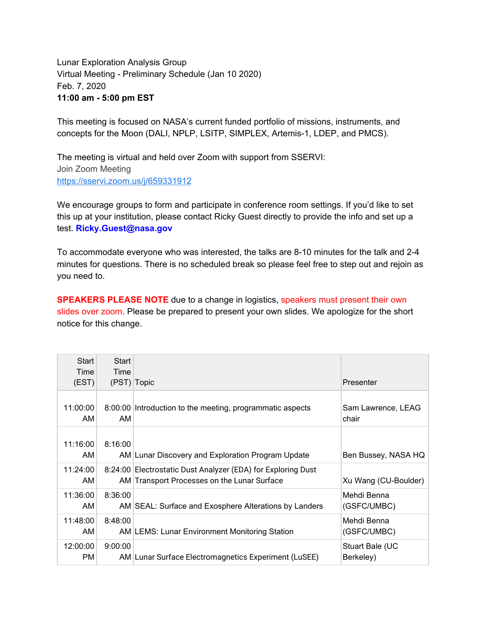Lunar Exploration Analysis Group Virtual Meeting - Preliminary Schedule (Jan 10 2020) Feb. 7, 2020 **11:00 am - 5:00 pm EST**

This meeting is focused on NASA's current funded portfolio of missions, instruments, and concepts for the Moon (DALI, NPLP, LSITP, SIMPLEX, Artemis-1, LDEP, and PMCS).

The meeting is virtual and held over Zoom with support from SSERVI: Join Zoom Meeting <https://sservi.zoom.us/j/659331912>

We encourage groups to form and participate in conference room settings. If you'd like to set this up at your institution, please contact Ricky Guest directly to provide the info and set up a test. **Ricky.Guest@nasa.gov**

To accommodate everyone who was interested, the talks are 8-10 minutes for the talk and 2-4 minutes for questions. There is no scheduled break so please feel free to step out and rejoin as you need to.

**SPEAKERS PLEASE NOTE** due to a change in logistics, speakers must present their own slides over zoom. Please be prepared to present your own slides. We apologize for the short notice for this change.

| Start<br>Time<br>(EST) | Start<br>Time<br>(PST) Topic |                                                                                                             | Presenter                    |
|------------------------|------------------------------|-------------------------------------------------------------------------------------------------------------|------------------------------|
| 11:00:00<br>AM         | AM                           | 8:00:00 Introduction to the meeting, programmatic aspects                                                   | Sam Lawrence, LEAG<br>chair  |
| 11:16:00<br>AM         | 8:16:00                      | AM Lunar Discovery and Exploration Program Update                                                           | Ben Bussey, NASA HQ          |
| 11:24:00<br>AM         |                              | 8:24:00 Electrostatic Dust Analyzer (EDA) for Exploring Dust<br>AM Transport Processes on the Lunar Surface | Xu Wang (CU-Boulder)         |
| 11:36:00<br>AM.        | 8:36:00                      | AM SEAL: Surface and Exosphere Alterations by Landers                                                       | Mehdi Benna<br>(GSFC/UMBC)   |
| 11:48:00<br>AM.        | 8:48:00                      | AM LEMS: Lunar Environment Monitoring Station                                                               | Mehdi Benna<br>(GSFC/UMBC)   |
| 12:00:00<br>PM.        | 9:00:00                      | AM Lunar Surface Electromagnetics Experiment (LuSEE)                                                        | Stuart Bale (UC<br>Berkeley) |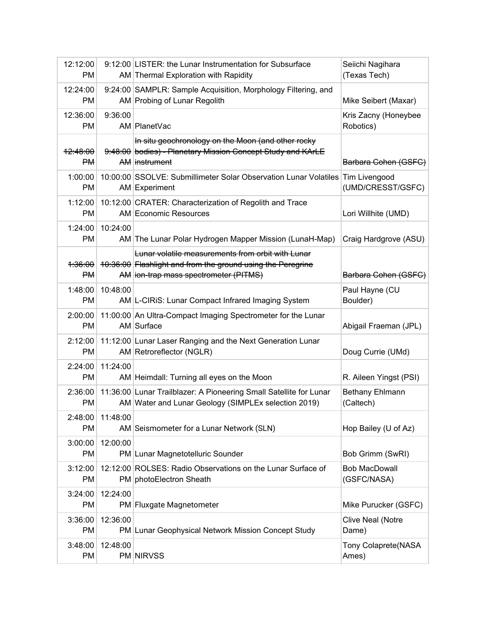| 12:12:00<br><b>PM</b>            |          | 9:12:00 LISTER: the Lunar Instrumentation for Subsurface<br>AM Thermal Exploration with Rapidity                                                          | Seiichi Nagihara<br>(Texas Tech)    |
|----------------------------------|----------|-----------------------------------------------------------------------------------------------------------------------------------------------------------|-------------------------------------|
| 12:24:00<br><b>PM</b>            |          | 9:24:00 SAMPLR: Sample Acquisition, Morphology Filtering, and<br>AM Probing of Lunar Regolith                                                             | Mike Seibert (Maxar)                |
| 12:36:00<br><b>PM</b>            | 9:36:00  | AM PlanetVac                                                                                                                                              | Kris Zacny (Honeybee<br>Robotics)   |
| <del>12:48:00</del><br><b>PM</b> |          | In situ geochronology on the Moon (and other rocky<br>9:48:00 bodies) - Planetary Mission Concept Study and KArLE<br>AM instrument                        | Barbara Cohen (GSFC)                |
| 1:00:00<br>PM                    |          | 10:00:00 SSOLVE: Submillimeter Solar Observation Lunar Volatiles<br>AM Experiment                                                                         | Tim Livengood<br>(UMD/CRESST/GSFC)  |
| 1:12:00<br>PM                    |          | 10:12:00 CRATER: Characterization of Regolith and Trace<br>AM Economic Resources                                                                          | Lori Willhite (UMD)                 |
| 1:24:00<br><b>PM</b>             | 10:24:00 | AM The Lunar Polar Hydrogen Mapper Mission (LunaH-Map)                                                                                                    | Craig Hardgrove (ASU)               |
| <del>1:36:00</del><br><b>PM</b>  |          | Lunar volatile measurements from orbit with Lunar<br>10:36:00 Flashlight and from the ground using the Peregrine<br>AM ion-trap mass spectrometer (PITMS) | Barbara Cohen (GSFC)                |
| 1:48:00<br><b>PM</b>             | 10:48:00 | AM L-CIRIS: Lunar Compact Infrared Imaging System                                                                                                         | Paul Hayne (CU<br>Boulder)          |
| 2:00:00<br><b>PM</b>             |          | 11:00:00 An Ultra-Compact Imaging Spectrometer for the Lunar<br>AM Surface                                                                                | Abigail Fraeman (JPL)               |
| 2:12:00<br><b>PM</b>             |          | 11:12:00 Lunar Laser Ranging and the Next Generation Lunar<br>AM Retroreflector (NGLR)                                                                    | Doug Currie (UMd)                   |
| 2:24:00<br><b>PM</b>             | 11:24:00 | AM Heimdall: Turning all eyes on the Moon                                                                                                                 | R. Aileen Yingst (PSI)              |
| 2:36:00<br>PM                    |          | 11:36:00 Lunar Trailblazer: A Pioneering Small Satellite for Lunar<br>AM Water and Lunar Geology (SIMPLEx selection 2019)                                 | Bethany Ehlmann<br>(Caltech)        |
| 2:48:00<br>PM                    | 11:48:00 | AM Seismometer for a Lunar Network (SLN)                                                                                                                  | Hop Bailey (U of Az)                |
| 3:00:00<br><b>PM</b>             | 12:00:00 | PM Lunar Magnetotelluric Sounder                                                                                                                          | Bob Grimm (SwRI)                    |
| 3:12:00<br>PM                    |          | 12:12:00 ROLSES: Radio Observations on the Lunar Surface of<br>PM photoElectron Sheath                                                                    | <b>Bob MacDowall</b><br>(GSFC/NASA) |
| 3:24:00<br>PM                    | 12:24:00 | PM Fluxgate Magnetometer                                                                                                                                  | Mike Purucker (GSFC)                |
| 3:36:00<br>PM                    | 12:36:00 | PM Lunar Geophysical Network Mission Concept Study                                                                                                        | <b>Clive Neal (Notre</b><br>Dame)   |
| 3:48:00<br>PM                    | 12:48:00 | <b>PM NIRVSS</b>                                                                                                                                          | Tony Colaprete(NASA<br>Ames)        |